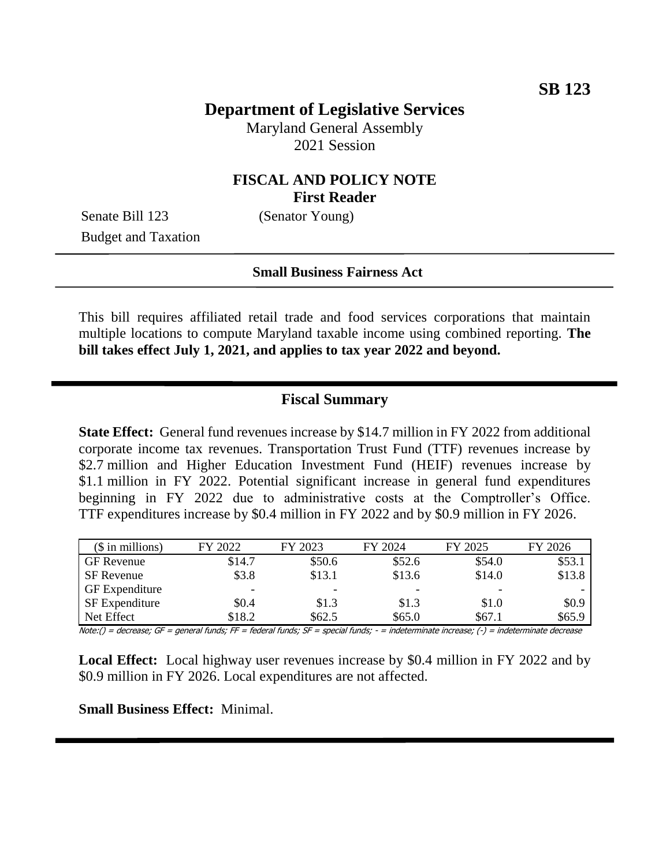# **Department of Legislative Services**

Maryland General Assembly 2021 Session

### **FISCAL AND POLICY NOTE First Reader**

Senate Bill 123 (Senator Young) Budget and Taxation

### **Small Business Fairness Act**

This bill requires affiliated retail trade and food services corporations that maintain multiple locations to compute Maryland taxable income using combined reporting. **The bill takes effect July 1, 2021, and applies to tax year 2022 and beyond.**

### **Fiscal Summary**

**State Effect:** General fund revenues increase by \$14.7 million in FY 2022 from additional corporate income tax revenues. Transportation Trust Fund (TTF) revenues increase by \$2.7 million and Higher Education Investment Fund (HEIF) revenues increase by \$1.1 million in FY 2022. Potential significant increase in general fund expenditures beginning in FY 2022 due to administrative costs at the Comptroller's Office. TTF expenditures increase by \$0.4 million in FY 2022 and by \$0.9 million in FY 2026.

| $($$ in millions)     | FY 2022 | FY 2023 | FY 2024 | FY 2025 | FY 2026 |
|-----------------------|---------|---------|---------|---------|---------|
| GF Revenue            | \$14.7  | \$50.6  | \$52.6  | \$54.0  | \$53.1  |
| SF Revenue            | \$3.8   | \$13.1  | \$13.6  | \$14.0  | \$13.8  |
| <b>GF</b> Expenditure | -       |         |         |         |         |
| <b>SF</b> Expenditure | \$0.4   | \$1.3   | \$1.3   | \$1.0   | \$0.9   |
| Net Effect            | \$18.2  | \$62.5  | \$65.0  | \$67.1  | \$65.9  |

Note:() = decrease; GF = general funds; FF = federal funds; SF = special funds; - = indeterminate increase; (-) = indeterminate decrease

**Local Effect:** Local highway user revenues increase by \$0.4 million in FY 2022 and by \$0.9 million in FY 2026. Local expenditures are not affected.

### **Small Business Effect:** Minimal.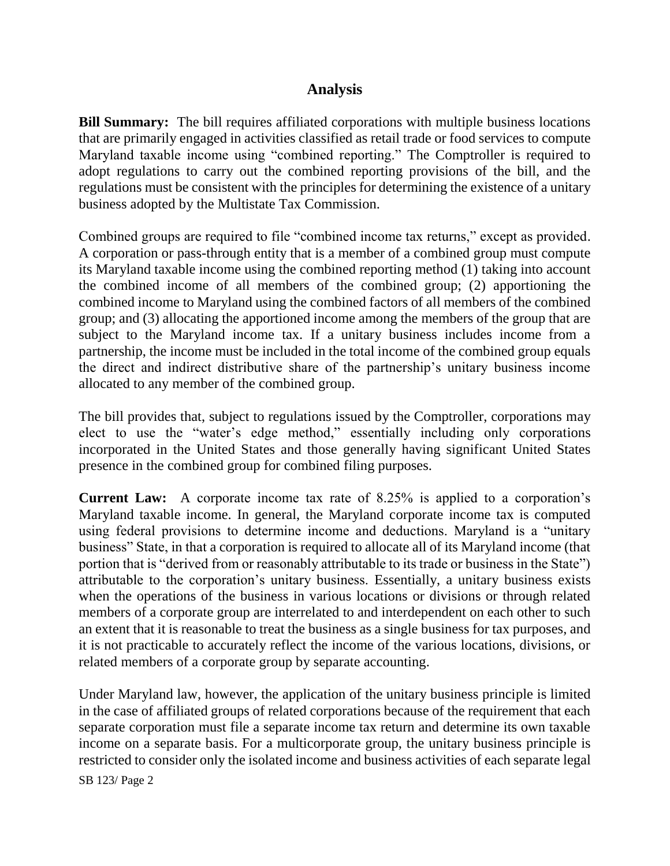## **Analysis**

**Bill Summary:** The bill requires affiliated corporations with multiple business locations that are primarily engaged in activities classified as retail trade or food services to compute Maryland taxable income using "combined reporting." The Comptroller is required to adopt regulations to carry out the combined reporting provisions of the bill, and the regulations must be consistent with the principles for determining the existence of a unitary business adopted by the Multistate Tax Commission.

Combined groups are required to file "combined income tax returns," except as provided. A corporation or pass-through entity that is a member of a combined group must compute its Maryland taxable income using the combined reporting method (1) taking into account the combined income of all members of the combined group; (2) apportioning the combined income to Maryland using the combined factors of all members of the combined group; and (3) allocating the apportioned income among the members of the group that are subject to the Maryland income tax. If a unitary business includes income from a partnership, the income must be included in the total income of the combined group equals the direct and indirect distributive share of the partnership's unitary business income allocated to any member of the combined group.

The bill provides that, subject to regulations issued by the Comptroller, corporations may elect to use the "water's edge method," essentially including only corporations incorporated in the United States and those generally having significant United States presence in the combined group for combined filing purposes.

**Current Law:** A corporate income tax rate of 8.25% is applied to a corporation's Maryland taxable income. In general, the Maryland corporate income tax is computed using federal provisions to determine income and deductions. Maryland is a "unitary business" State, in that a corporation is required to allocate all of its Maryland income (that portion that is "derived from or reasonably attributable to its trade or business in the State") attributable to the corporation's unitary business. Essentially, a unitary business exists when the operations of the business in various locations or divisions or through related members of a corporate group are interrelated to and interdependent on each other to such an extent that it is reasonable to treat the business as a single business for tax purposes, and it is not practicable to accurately reflect the income of the various locations, divisions, or related members of a corporate group by separate accounting.

Under Maryland law, however, the application of the unitary business principle is limited in the case of affiliated groups of related corporations because of the requirement that each separate corporation must file a separate income tax return and determine its own taxable income on a separate basis. For a multicorporate group, the unitary business principle is restricted to consider only the isolated income and business activities of each separate legal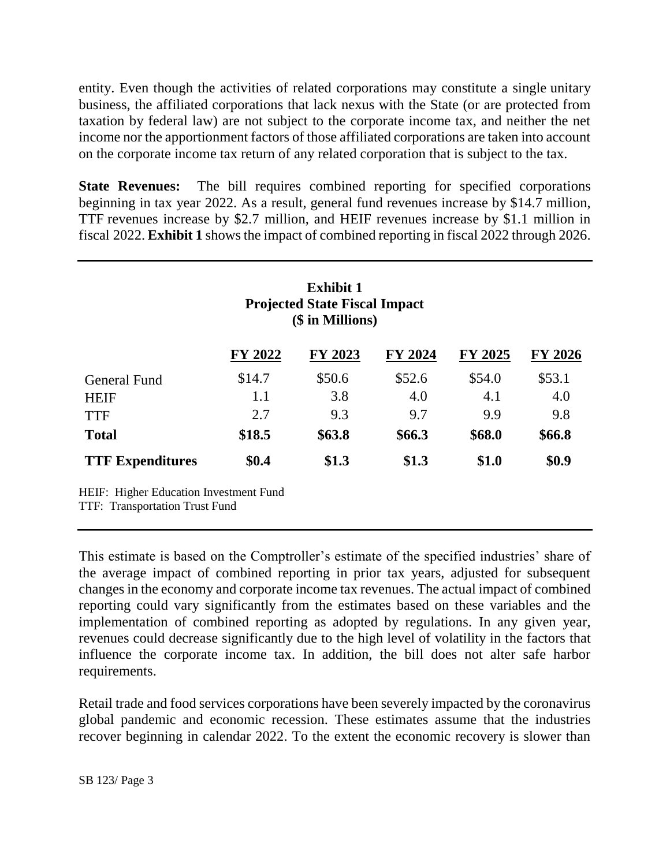entity. Even though the activities of related corporations may constitute a single unitary business, the affiliated corporations that lack nexus with the State (or are protected from taxation by federal law) are not subject to the corporate income tax, and neither the net income nor the apportionment factors of those affiliated corporations are taken into account on the corporate income tax return of any related corporation that is subject to the tax.

**State Revenues:** The bill requires combined reporting for specified corporations beginning in tax year 2022. As a result, general fund revenues increase by \$14.7 million, TTF revenues increase by \$2.7 million, and HEIF revenues increase by \$1.1 million in fiscal 2022. **Exhibit 1** shows the impact of combined reporting in fiscal 2022 through 2026.

| <b>Exhibit 1</b><br><b>Projected State Fiscal Impact</b><br>(\$ in Millions) |         |         |         |         |         |  |  |  |
|------------------------------------------------------------------------------|---------|---------|---------|---------|---------|--|--|--|
|                                                                              | FY 2022 | FY 2023 | FY 2024 | FY 2025 | FY 2026 |  |  |  |
| General Fund                                                                 | \$14.7  | \$50.6  | \$52.6  | \$54.0  | \$53.1  |  |  |  |
| <b>HEIF</b>                                                                  | 1.1     | 3.8     | 4.0     | 4.1     | 4.0     |  |  |  |
| <b>TTF</b>                                                                   | 2.7     | 9.3     | 9.7     | 9.9     | 9.8     |  |  |  |
| <b>Total</b>                                                                 | \$18.5  | \$63.8  | \$66.3  | \$68.0  | \$66.8  |  |  |  |
| <b>TTF Expenditures</b>                                                      | \$0.4   | \$1.3   | \$1.3   | \$1.0   | \$0.9   |  |  |  |

TTF: Transportation Trust Fund

This estimate is based on the Comptroller's estimate of the specified industries' share of the average impact of combined reporting in prior tax years, adjusted for subsequent changes in the economy and corporate income tax revenues. The actual impact of combined reporting could vary significantly from the estimates based on these variables and the implementation of combined reporting as adopted by regulations. In any given year, revenues could decrease significantly due to the high level of volatility in the factors that influence the corporate income tax. In addition, the bill does not alter safe harbor requirements.

Retail trade and food services corporations have been severely impacted by the coronavirus global pandemic and economic recession. These estimates assume that the industries recover beginning in calendar 2022. To the extent the economic recovery is slower than